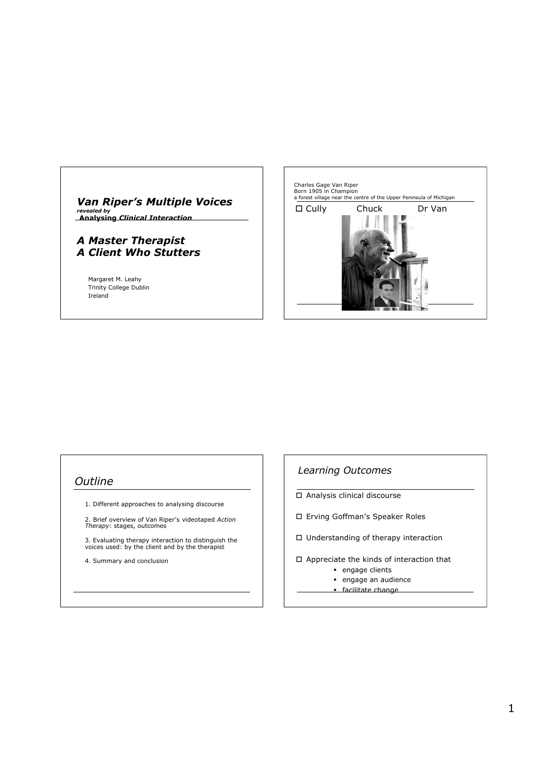# *Van Riper's Multiple Voices*

*revealed by*  **Analysing** *Clinical Interaction*

### *A Master Therapist A Client Who Stutters*

Margaret M. Leahy Trinity College Dublin Ireland



### *Outline*

- 1. Different approaches to analysing discourse
- 2. Brief overview of Van Riper's videotaped *Action Therapy*: stages, outcomes
- 3. Evaluating therapy interaction to distinguish the voices used: by the client and by the therapist
- 4. Summary and conclusion

### *Learning Outcomes*

- Analysis clinical discourse
- Erving Goffman's Speaker Roles
- □ Understanding of therapy interaction
- Appreciate the kinds of interaction that
	- **engage clients**
	- engage an audience
	- **facilitate change**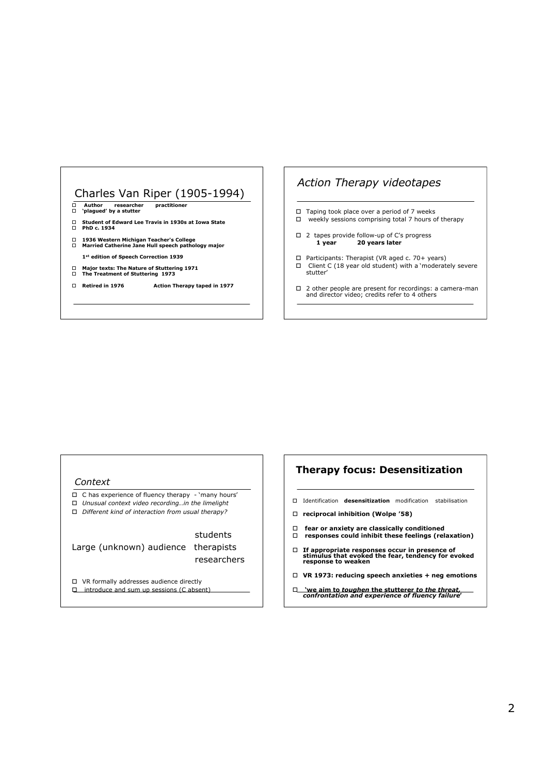# Charles Van Riper (1905-1994)

- **Author researcher practitioner 'plagued' by a stutter**
- **Student of Edward Lee Travis in 1930s at Iowa State PhD c. 1934**
- 
- **1936 Western Michigan Teacher's College Married Catherine Jane Hull speech pathology major 1st edition of Speech Correction 1939**
- **Major texts: The Nature of Stuttering 1971 The Treatment of Stuttering 1973**
- **Retired in 1976 Action Therapy taped in 1977**

### *Action Therapy videotapes*

- $\Box$  Taping took place over a period of 7 weeks
- $\Box$  weekly sessions comprising total 7 hours of therapy
- $\Box$  2 tapes provide follow-up of C's progress<br>**1 year 20 years later** 20 years later
- $\Box$  Participants: Therapist (VR aged c. 70+ years)  $\Box$  Client C (18 year old student) with a 'moderately severe stutter'
- 2 other people are present for recordings: a camera-man and director video; credits refer to 4 others

#### *Context*

- C has experience of fluency therapy 'many hours'
- *Unusual context video recording…in the limelight Different kind of interaction from usual therapy?*
	-

#### students Large (unknown) audience therapists researchers

- VR formally addresses audience directly
- $\Box$  introduce and sum up sessions (C absent)

### **Therapy focus: Desensitization**

- Identification **desensitization** modification stabilisation
- **reciprocal inhibition (Wolpe '58)**
- **fear or anxiety are classically conditioned responses could inhibit these feelings (relaxation)**
- **If appropriate responses occur in presence of stimulus that evoked the fear, tendency for evoked response to weaken**
- **VR 1973: reducing speech anxieties + neg emotions**
- **'we aim to** *toughen* **the stutterer** *to the threat, confrontation and experience of fluency failure***'**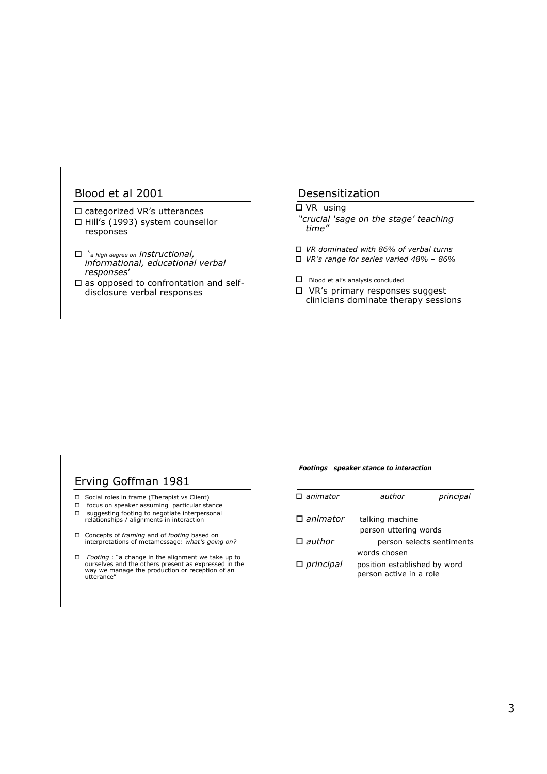### Blood et al 2001

- categorized VR's utterances □ Hill's (1993) system counsellor responses
- '*a high degree on instructional, informational, educational verbal responses*'
- $\square$  as opposed to confrontation and selfdisclosure verbal responses

### Desensitization

### □ VR using

- *"crucial 'sage on the stage' teaching time"*
- *VR dominated with 86% of verbal turns*
- *VR's range for series varied 48% 86%*
- Blood et al's analysis concluded
- VR's primary responses suggest
- clinicians dominate therapy sessions

### Erving Goffman 1981

- □ Social roles in frame (Therapist vs Client)
- $\Box$  focus on speaker assuming particular stance
- suggesting footing to negotiate interpersonal relationships / alignments in interaction
- Concepts of *framing* and of *footing* based on interpretations of metamessage: *what's going on?*
- *Footing* : "a change in the alignment we take up to ourselves and the others present as expressed in the way we manage the production or reception of an utterance"

#### *Footings speaker stance to interaction*

| $\Box$ animator    | author                                                  | principal |
|--------------------|---------------------------------------------------------|-----------|
| $\square$ animator | talking machine<br>person uttering words                |           |
| $\square$ author   | person selects sentiments<br>words chosen               |           |
| $\Box$ principal   | position established by word<br>person active in a role |           |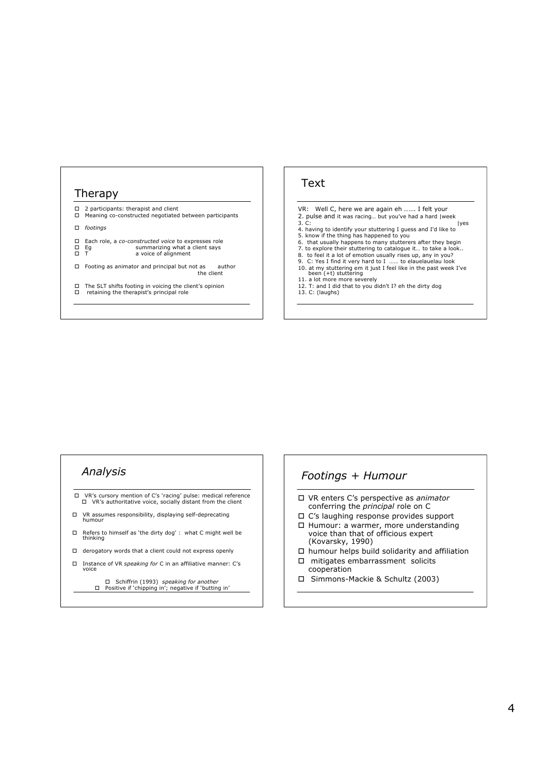#### Therapy

- 2 participants: therapist and client Meaning co-constructed negotiated between participants
- *footings*
- 
- Each role, a *co-constructed voice* to expresses role Eg summarizing what a client says  $\Box$  Equation Equation Equation Equation C is a voice of alignment<br> $\Box$  T a voice of alignment
- 
- Footing as animator and principal but not as author the client
- □ The SLT shifts footing in voicing the client's opinion<br>□ retaining the therapist's principal role

#### Text

- VR: Well C, here we are again eh ……. I felt your
- 2. pulse and it was racing… but you've had a hard |week 3. C: |yes
- 4. having to identify your stuttering I guess and I'd like to 5. know if the thing has happened to you 6. that usually happens to many stutterers after they begin
- 
- 
- 
- 7. to explore their stuttering to catalogue it… to take a look..<br>8. to feel it a lot of emotion usually rises up, any in you?<br>9. C: Yes I find it very hard to I …… to elauelauelau look 10. at my stuttering em it just I feel like in the past week I've<br>been (+t) stuttering<br>11. a lot more more severely
- 
- 12. T: and I did that to you didn't I? eh the dirty dog 13. C: (laughs)

### *Analysis*

- VR's cursory mention of C's 'racing' pulse: medical reference VR's authoritative voice, socially distant from the client
- VR assumes responsibility, displaying self-deprecating humour
- $\square$  Refers to himself as 'the dirty dog' : what C might well be thinking
- derogatory words that a client could not express openly
- Instance of VR *speaking for* C in an affiliative manner: C's voice
	- Schiffrin (1993) *speaking for another* Positive if 'chipping in'; negative if 'butting in'

### *Footings + Humour*

- VR enters C's perspective as *animator* conferring the *principal* role on C
- C's laughing response provides support
- □ Humour: a warmer, more understanding voice than that of officious expert (Kovarsky, 1990)
- $\square$  humour helps build solidarity and affiliation
- $\square$  mitigates embarrassment solicits
- cooperation Simmons-Mackie & Schultz (2003)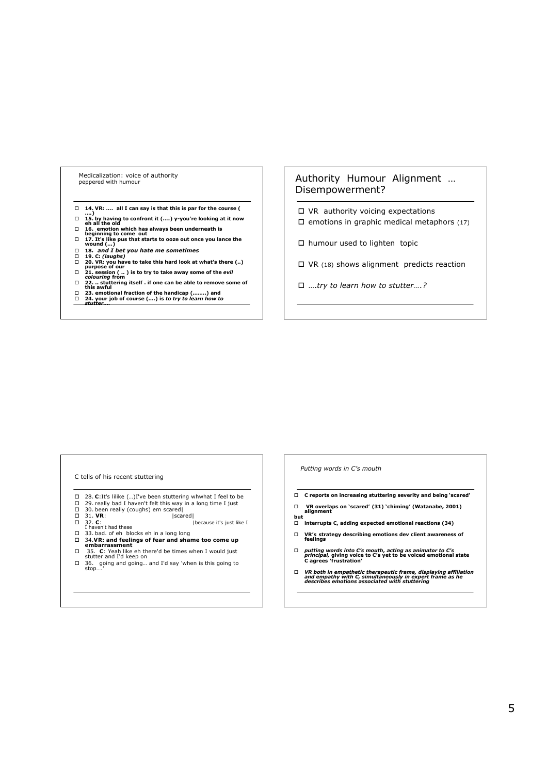#### Medicalization: voice of authority peppered with humour

- **14. VR: …. all I can say is that this is par for the course ( ….)**
- 
- 
- 
- $\Box$  15. by having to confront it (....) y-you're looking at it now<br>  $\Box$  16. emotion which has always been underneath is<br>  $\Box$  beginning to come out<br>  $\Box$  17. It's like pus that starts to ooze out once you lance the<br>
∞
- 
- □ 19. C: *(laughs)*<br>□ 20. VR: you have to take this hard look at what's there (..)<br>purpose of our<br>□ 21. session ( .. ) is to try to take away some of the *evil*<br>c*olouring* from
- 
- 
- **22. .. stuttering itself . if one can be able to remove some of this awful**
- 
- **23. emotional fraction of the handicap (……..) and 24. your job of course (….) is** *to try to learn how to stutter….*

### Authority Humour Alignment … Disempowerment?

- VR authority voicing expectations
- $\Box$  emotions in graphic medical metaphors (17)
- □ humour used to lighten topic
- $\Box$  VR (18) shows alignment predicts reaction
- ….*try to learn how to stutter….?*

#### C tells of his recent stuttering

- □ 28. C:It's lilike (...)I've been stuttering whwhat I feel to be<br>□ 29. really bad I haven't felt this way in a long time I just<br>□ 30. been really (coughs) em scared|
- 
- 
- 
- 31. **VR**: |scared| 32. **C**: |because it's just like I I haven't had these
- 33. bad. of eh blocks eh in a long long 34.**VR: and feelings of fear and shame too come up embarrassment**
- 
- **C**: Yeah like eh there'd be times when I would just stutter and I'd keep on
- 36. going and going… and I'd say 'when is this going to stop….'

#### *Putting words in C's mouth*

- **C reports on increasing stuttering severity and being 'scared'**
- **VR overlaps on 'scared' (31) 'chiming' (Watanabe, 2001) alignment**
- **but interrupts C, adding expected emotional reactions (34)**
- **VR's strategy describing emotions dev client awareness of feelings**
- *putting words into C's mouth***,** *acting as animator to C's principal,* **giving voice to C's yet to be voiced emotional state C agrees 'frustration'**
- *VR both in empathetic therapeutic frame, displaying affiliation and empathy with C, simultaneously in expert frame as he describes emotions associated with stuttering*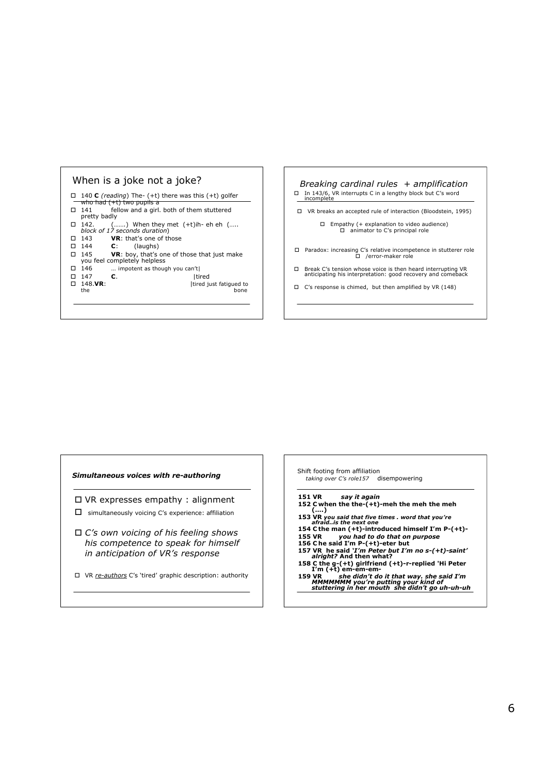

- 140 **C** *(reading*) The- (+t) there was this (+t) golfer
- who had  $(+t)$  two<br> $\Box$  141 fellow a fellow and a girl. both of them stuttered
- pretty badly
- 142. (…….) When they met (+t)ih- eh eh (….. *block of 17 seconds duration*)
- 143 **VR**: that's one of those
- 144 **C**: (laughs)
- 145 **VR**: boy, that's one of those that just make you feel completely helpless
- 
- $\Box$  146 ... impotent as though you can't|<br> $\Box$  147 **C.** [tired
- $\Box$  147<br> $\Box$  148.**VR**:
	- **148.VR:**  $\left| \text{tired just fatigued to} \right|$ the bone

*Breaking cardinal rules + amplification* In 143/6, VR interrupts C in a lengthy block but C's word incomplete

VR breaks an accepted rule of interaction (Bloodstein, 1995)

- Empathy (+ explanation to video audience) animator to C's principal role
- Paradox: increasing C's relative incompetence in stutterer role /error-maker role
- Break C's tension whose voice is then heard interrupting VR anticipating his interpretation: good recovery and comeback
- $\Box$  C's response is chimed, but then amplified by VR (148)

#### *Simultaneous voices with re-authoring*

- VR expresses empathy : alignment
- $\square$  simultaneously voicing C's experience: affiliation
- *C's own voicing of his feeling shows his competence to speak for himself in anticipation of VR's response*
- VR *re-authors* C's 'tired' graphic description: authority

Shift footing from affiliation *taking over C's role157* disempowering

**151 VR** *say it again*

- **152 C when the the-(+t)-meh the meh the meh (….)**
- 
- **153 VR** *you said that five times . word that you're afraid..is the next one* **154 C the man (+t)-introduced himself I'm P-(+t)-**
- 
- 
- **155 VR** *you had to do that on purpose* **156 C he said I'm P-(+t)-eter but 157 VR he said** *'I'm Peter but I'm no s-(+t)-saint' alright?* **And then what?**
- **158 C the g-(+t) girlfriend (+t)-r-replied 'Hi Peter I'm (+t) em-em-em-**
- **159 VR** *she didn't do it that way. she said I'm MMMMMMM you're putting your kind of stuttering in her mouth she didn't go uh-uh-uh*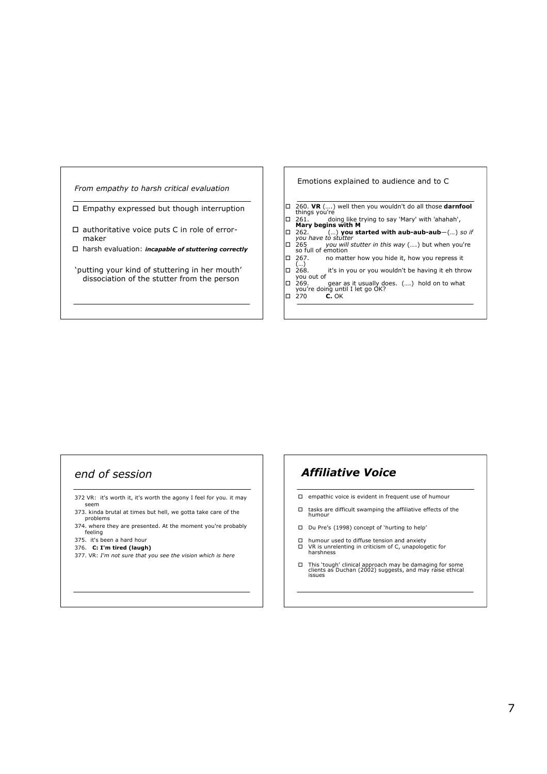#### *From empathy to harsh critical evaluation*

 $\Box$  Empathy expressed but though interruption

- $\square$  authoritative voice puts C in role of errormaker
- harsh evaluation: *incapable of stuttering correctly*
- 'putting your kind of stuttering in her mouth' dissociation of the stutter from the person

#### Emotions explained to audience and to C

- 260. **VR** (….) well then you wouldn't do all those **darnfool** things you're
- 261. doing like trying to say 'Mary' with 'ahahah', **Mary begins with M**
- 
- 262. (…) **you started with aub-aub-aub**—(…) *so if you have to stutter*
- <sup>265</sup> *you will stutter in this way* (….) but when you're so full of emotion
- no matter how you hide it, how you repress it
- (…) 268. it's in you or you wouldn't be having it eh throw you out of
- □ 269. gear as it usually does. (....) hold on to what<br> you're doing until I let go OK?<br>□ 270 **C.** OK

# *end of session*

- 372 VR: it's worth it, it's worth the agony I feel for you. it may seem
- 373. kinda brutal at times but hell, we gotta take care of the problems
- 374. where they are presented. At the moment you're probably feeling
- 375. it's been a hard hour
- 376. **C: I'm tired (laugh)**
- 377. VR: *I'm not sure that you see the vision which is here*

## *Affiliative Voice*

- empathic voice is evident in frequent use of humour
- $\square$  tasks are difficult swamping the affiliative effects of the humour
- Du Pre's (1998) concept of 'hurting to help'
- $□$  humour used to diffuse tension and anxiety  $□$  VR is unrelenting in criticism of C, unapolog VR is unrelenting in criticism of C, unapologetic for harshness
- This 'tough' clinical approach may be damaging for some clients as Duchan (2002) suggests, and may raise ethical issues